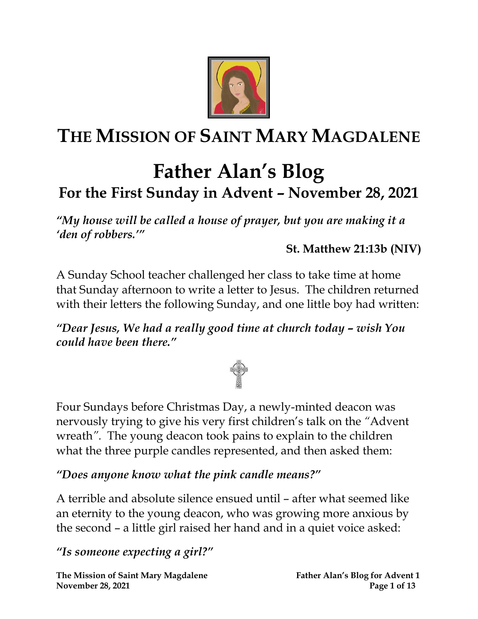

# **THE MISSION OF SAINT MARY MAGDALENE**

## **Father Alan's Blog For the First Sunday in Advent – November 28, 2021**

*"My house will be called a house of prayer, but you are making it a 'den of robbers.'"*

**St. Matthew 21:13b (NIV)**

A Sunday School teacher challenged her class to take time at home that Sunday afternoon to write a letter to Jesus. The children returned with their letters the following Sunday, and one little boy had written:

*"Dear Jesus, We had a really good time at church today – wish You could have been there."*



Four Sundays before Christmas Day, a newly-minted deacon was nervously trying to give his very first children's talk on the *"*Advent wreath*".* The young deacon took pains to explain to the children what the three purple candles represented, and then asked them:

#### *"Does anyone know what the pink candle means?"*

A terrible and absolute silence ensued until – after what seemed like an eternity to the young deacon, who was growing more anxious by the second – a little girl raised her hand and in a quiet voice asked:

*"Is someone expecting a girl?"*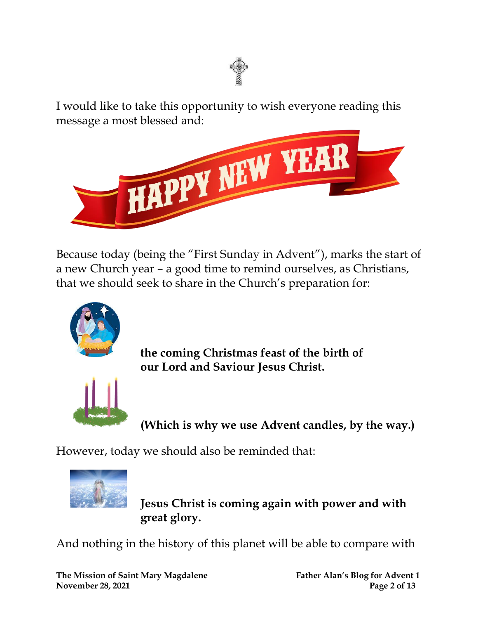

I would like to take this opportunity to wish everyone reading this message a most blessed and:



Because today (being the "First Sunday in Advent"), marks the start of a new Church year – a good time to remind ourselves, as Christians, that we should seek to share in the Church's preparation for:



**the coming Christmas feast of the birth of our Lord and Saviour Jesus Christ.**



**(Which is why we use Advent candles, by the way.)**

However, today we should also be reminded that:



**Jesus Christ is coming again with power and with great glory.**

And nothing in the history of this planet will be able to compare with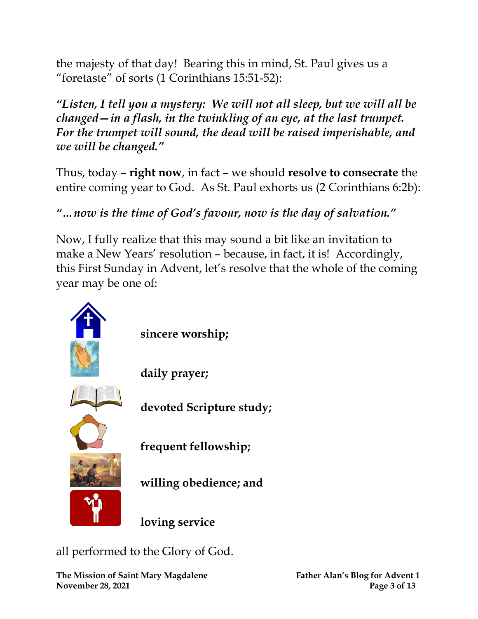the majesty of that day! Bearing this in mind, St. Paul gives us a "foretaste" of sorts (1 Corinthians 15:51-52):

*"Listen, I tell you a mystery: We will not all sleep, but we will all be changed—in a flash, in the twinkling of an eye, at the last trumpet. For the trumpet will sound, the dead will be raised imperishable, and we will be changed."*

Thus, today – **right now**, in fact – we should **resolve to consecrate** the entire coming year to God. As St. Paul exhorts us (2 Corinthians 6:2b):

## *"…now is the time of God's favour, now is the day of salvation."*

Now, I fully realize that this may sound a bit like an invitation to make a New Years' resolution – because, in fact, it is! Accordingly, this First Sunday in Advent, let's resolve that the whole of the coming year may be one of:



all performed to the Glory of God.

**The Mission of Saint Mary Magdalene Father Alan's Blog for Advent 1 November 28, 2021 Page 3 of 13**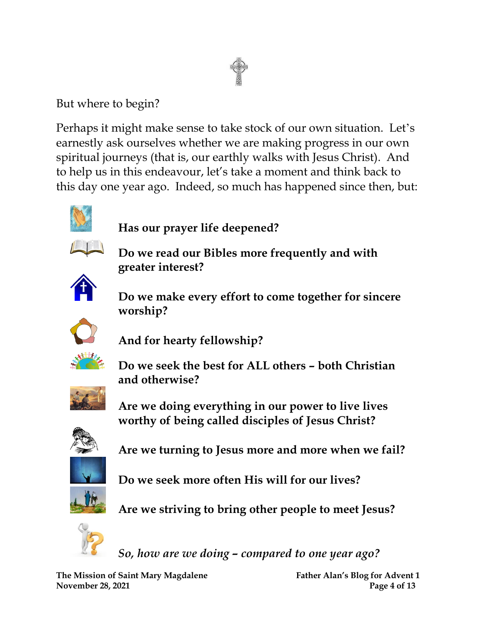

But where to begin?

Perhaps it might make sense to take stock of our own situation. Let's earnestly ask ourselves whether we are making progress in our own spiritual journeys (that is, our earthly walks with Jesus Christ). And to help us in this endeavour, let's take a moment and think back to this day one year ago. Indeed, so much has happened since then, but:



### **Has our prayer life deepened?**

 **Do we read our Bibles more frequently and with greater interest?**



 **Do we make every effort to come together for sincere worship?**



 **And for hearty fellowship?**



 **Do we seek the best for ALL others – both Christian and otherwise?**



 **Are we doing everything in our power to live lives worthy of being called disciples of Jesus Christ?**



 **Are we turning to Jesus more and more when we fail?**



 **Do we seek more often His will for our lives?**



 **Are we striving to bring other people to meet Jesus?**



 *So, how are we doing – compared to one year ago?*

**The Mission of Saint Mary Magdalene Father Alan's Blog for Advent 1 November 28, 2021 Page 4 of 13**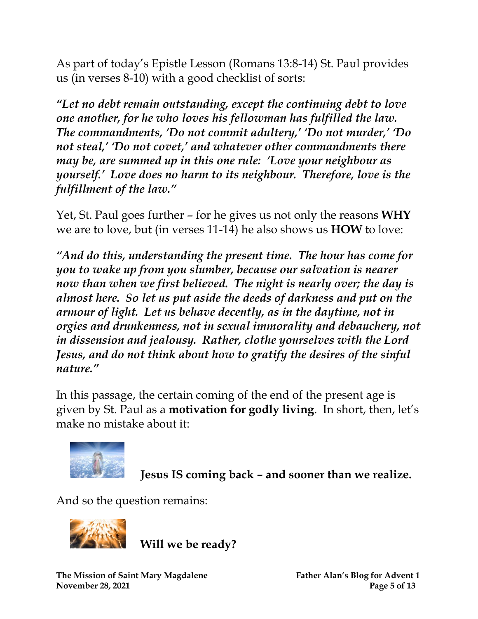As part of today's Epistle Lesson (Romans 13:8-14) St. Paul provides us (in verses 8-10) with a good checklist of sorts:

*"Let no debt remain outstanding, except the continuing debt to love one another, for he who loves his fellowman has fulfilled the law. The commandments, 'Do not commit adultery,' 'Do not murder,' 'Do not steal,' 'Do not covet,' and whatever other commandments there may be, are summed up in this one rule: 'Love your neighbour as yourself.' Love does no harm to its neighbour. Therefore, love is the fulfillment of the law."*

Yet, St. Paul goes further – for he gives us not only the reasons **WHY** we are to love, but (in verses 11-14) he also shows us **HOW** to love:

*"And do this, understanding the present time. The hour has come for you to wake up from you slumber, because our salvation is nearer now than when we first believed. The night is nearly over; the day is almost here. So let us put aside the deeds of darkness and put on the armour of light. Let us behave decently, as in the daytime, not in orgies and drunkenness, not in sexual immorality and debauchery, not in dissension and jealousy. Rather, clothe yourselves with the Lord Jesus, and do not think about how to gratify the desires of the sinful nature."*

In this passage, the certain coming of the end of the present age is given by St. Paul as a **motivation for godly living**. In short, then, let's make no mistake about it:



**Jesus IS coming back – and sooner than we realize.**

And so the question remains:



**Will we be ready?**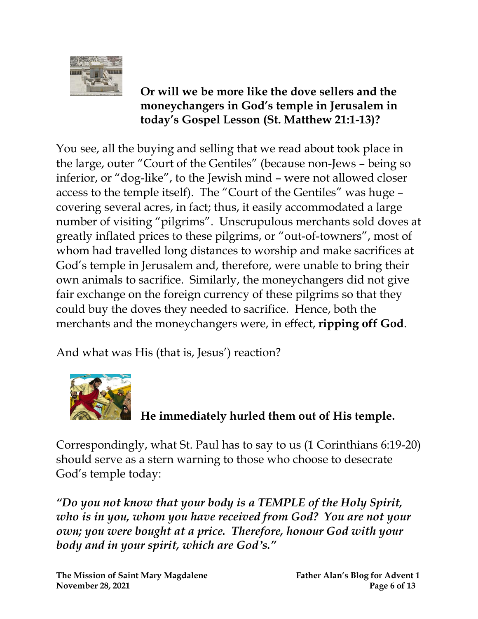

**Or will we be more like the dove sellers and the moneychangers in God's temple in Jerusalem in today's Gospel Lesson (St. Matthew 21:1-13)?**

You see, all the buying and selling that we read about took place in the large, outer "Court of the Gentiles" (because non-Jews – being so inferior, or "dog-like", to the Jewish mind – were not allowed closer access to the temple itself). The "Court of the Gentiles" was huge – covering several acres, in fact; thus, it easily accommodated a large number of visiting "pilgrims". Unscrupulous merchants sold doves at greatly inflated prices to these pilgrims, or "out-of-towners", most of whom had travelled long distances to worship and make sacrifices at God's temple in Jerusalem and, therefore, were unable to bring their own animals to sacrifice. Similarly, the moneychangers did not give fair exchange on the foreign currency of these pilgrims so that they could buy the doves they needed to sacrifice. Hence, both the merchants and the moneychangers were, in effect, **ripping off God**.

And what was His (that is, Jesus') reaction?



**He immediately hurled them out of His temple.**

Correspondingly, what St. Paul has to say to us (1 Corinthians 6:19-20) should serve as a stern warning to those who choose to desecrate God's temple today:

*"Do you not know that your body is a TEMPLE of the Holy Spirit, who is in you, whom you have received from God? You are not your own; you were bought at a price. Therefore, honour God with your body and in your spirit, which are God's."*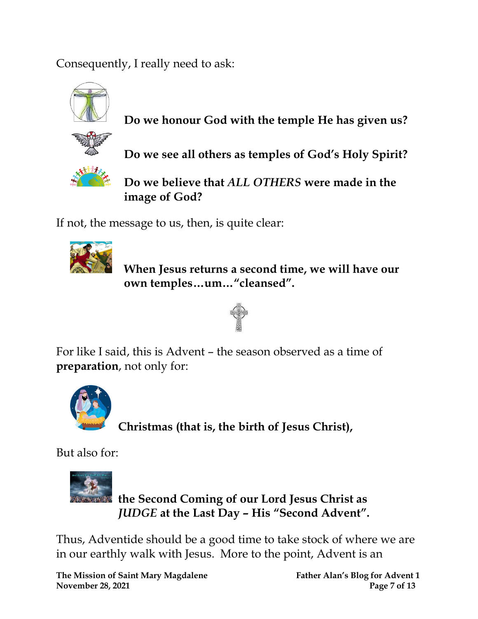Consequently, I really need to ask:



 **Do we honour God with the temple He has given us?**



 **Do we see all others as temples of God's Holy Spirit?**



 **Do we believe that** *ALL OTHERS* **were made in the image of God?**

If not, the message to us, then, is quite clear:



 **When Jesus returns a second time, we will have our own temples…um…"cleansed".**



For like I said, this is Advent – the season observed as a time of **preparation**, not only for:



 **Christmas (that is, the birth of Jesus Christ),**

But also for:



 **the Second Coming of our Lord Jesus Christ as**  *JUDGE* **at the Last Day – His "Second Advent".**

Thus, Adventide should be a good time to take stock of where we are in our earthly walk with Jesus. More to the point, Advent is an

**The Mission of Saint Mary Magdalene Father Alan's Blog for Advent 1 November 28, 2021 Page 7** of 13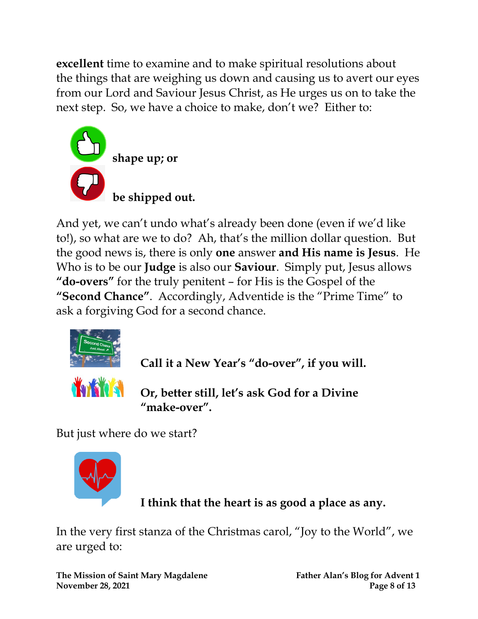**excellent** time to examine and to make spiritual resolutions about the things that are weighing us down and causing us to avert our eyes from our Lord and Saviour Jesus Christ, as He urges us on to take the next step. So, we have a choice to make, don't we? Either to:



And yet, we can't undo what's already been done (even if we'd like to!), so what are we to do? Ah, that's the million dollar question. But the good news is, there is only **one** answer **and His name is Jesus**. He Who is to be our **Judge** is also our **Saviour**. Simply put, Jesus allows **"do-overs"** for the truly penitent – for His is the Gospel of the **"Second Chance"**. Accordingly, Adventide is the "Prime Time" to ask a forgiving God for a second chance.



**Call it a New Year's "do-over" , if you will.**

**Or, better still, let's ask God for a Divine "make-over".**

But just where do we start?



**I think that the heart is as good a place as any.**

In the very first stanza of the Christmas carol, "Joy to the World", we are urged to:

**The Mission of Saint Mary Magdalene Father Alan's Blog for Advent 1 November 28, 2021 Page 8 of 13**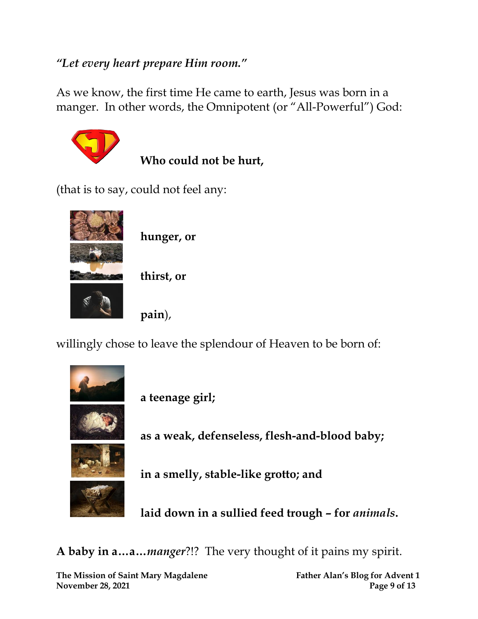#### *"Let every heart prepare Him room."*

As we know, the first time He came to earth, Jesus was born in a manger. In other words, the Omnipotent (or "All-Powerful") God:



**Who could not be hurt,**

(that is to say, could not feel any:



**hunger, or**

**thirst, or** 

**pain**),

willingly chose to leave the splendour of Heaven to be born of:



**a teenage girl;**



**as a weak, defenseless, flesh-and-blood baby;**



**in a smelly, stable-like grotto; and** 



**laid down in a sullied feed trough – for** *animals***.**

**A baby in a…a…***manger*?!? The very thought of it pains my spirit.

**The Mission of Saint Mary Magdalene Father Alan's Blog for Advent 1 November 28, 2021 Page 9** of 13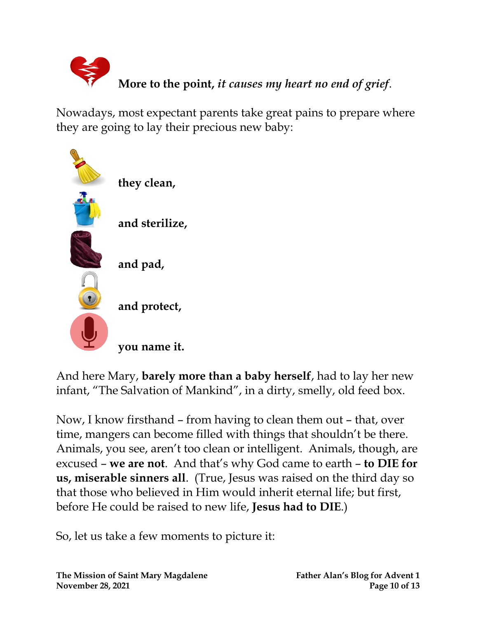

Nowadays, most expectant parents take great pains to prepare where they are going to lay their precious new baby:



And here Mary, **barely more than a baby herself**, had to lay her new infant, "The Salvation of Mankind", in a dirty, smelly, old feed box.

Now, I know firsthand – from having to clean them out – that, over time, mangers can become filled with things that shouldn't be there. Animals, you see, aren't too clean or intelligent. Animals, though, are excused – **we are not**. And that's why God came to earth – **to DIE for us, miserable sinners all**. (True, Jesus was raised on the third day so that those who believed in Him would inherit eternal life; but first, before He could be raised to new life, **Jesus had to DIE**.)

So, let us take a few moments to picture it: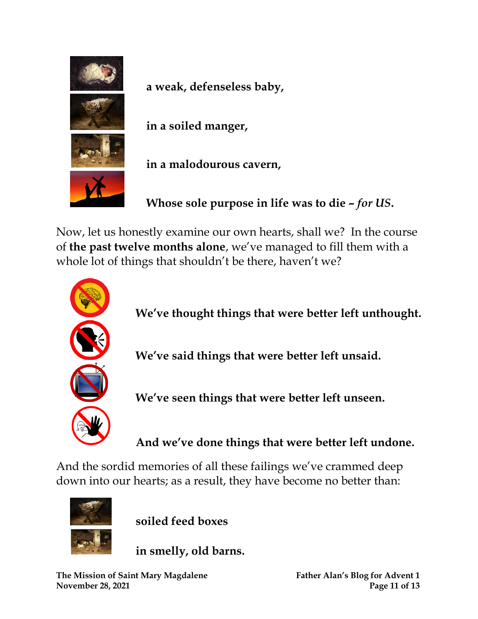

 **a weak, defenseless baby,**

 **in a soiled manger,**



 **in a malodourous cavern,**

 **Whose sole purpose in life was to die** *– for US***.**

Now, let us honestly examine our own hearts, shall we? In the course of **the past twelve months alone**, we've managed to fill them with a whole lot of things that shouldn't be there, haven't we?



 **We've thought things that were better left unthought.**

 **We've said things that were better left unsaid.**

 **We've seen things that were better left unseen.**

 **And we've done things that were better left undone.**

And the sordid memories of all these failings we've crammed deep down into our hearts; as a result, they have become no better than:



 **soiled feed boxes**

 **in smelly, old barns.**

**The Mission of Saint Mary Magdalene Father Alan's Blog for Advent 1 November 28, 2021 Page 11 of 13**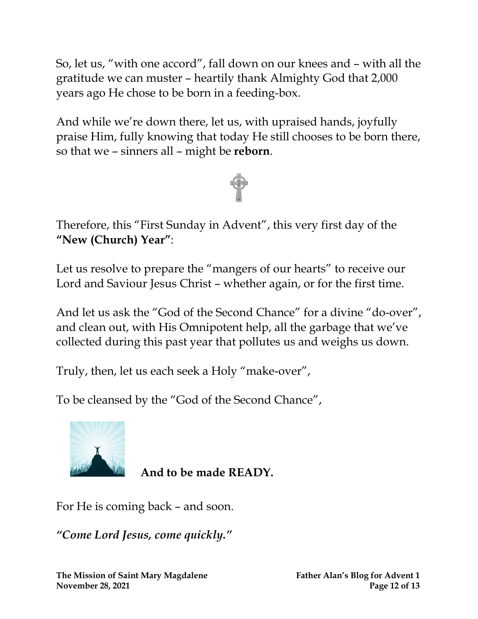So, let us, "with one accord", fall down on our knees and – with all the gratitude we can muster – heartily thank Almighty God that 2,000 years ago He chose to be born in a feeding-box.

And while we're down there, let us, with upraised hands, joyfully praise Him, fully knowing that today He still chooses to be born there, so that we – sinners all – might be **reborn**.



Therefore, this "First Sunday in Advent", this very first day of the **"New (Church) Year"**:

Let us resolve to prepare the "mangers of our hearts" to receive our Lord and Saviour Jesus Christ – whether again, or for the first time.

And let us ask the "God of the Second Chance" for a divine "do-over", and clean out, with His Omnipotent help, all the garbage that we've collected during this past year that pollutes us and weighs us down.

Truly, then, let us each seek a Holy "make-over",

To be cleansed by the "God of the Second Chance",



**And to be made READY.**

For He is coming back – and soon.

*"Come Lord Jesus, come quickly."*